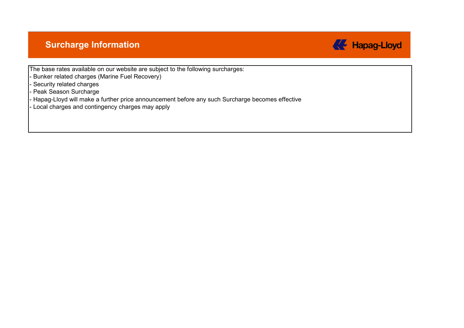### **Surcharge Information**



The base rates available on our website are subject to the following surcharges:

- Bunker related charges (Marine Fuel Recovery)
- Security related charges
- Peak Season Surcharge
- Hapag-Lloyd will make a further price announcement before any such Surcharge becomes effective
- Local charges and contingency charges may apply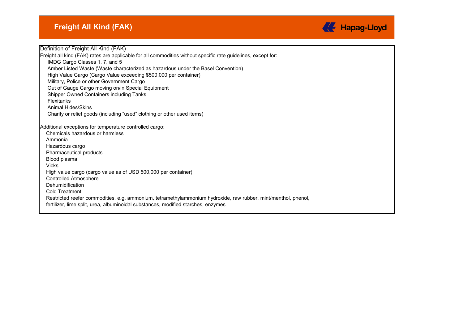

Definition of Freight All Kind (FAK) Freight all kind (FAK) rates are applicable for all commodities without specific rate guidelines, except for: IMDG Cargo Classes 1, 7, and 5 Amber Listed Waste (Waste characterized as hazardous under the Basel Convention) High Value Cargo (Cargo Value exceeding \$500.000 per container) Military, Police or other Government Cargo Out of Gauge Cargo moving on/in Special Equipment Shipper Owned Containers including Tanks Flexitanks Animal Hides/Skins Charity or relief goods (including "used" clothing or other used items) Additional exceptions for temperature controlled cargo: Chemicals hazardous or harmless Ammonia Hazardous cargo Pharmaceutical products Blood plasma Vicks High value cargo (cargo value as of USD 500,000 per container) Controlled Atmosphere **Dehumidification** Cold Treatment Restricted reefer commodities, e.g. ammonium, tetramethylammonium hydroxide, raw rubber, mint/menthol, phenol, fertilizer, lime split, urea, albuminoidal substances, modified starches, enzymes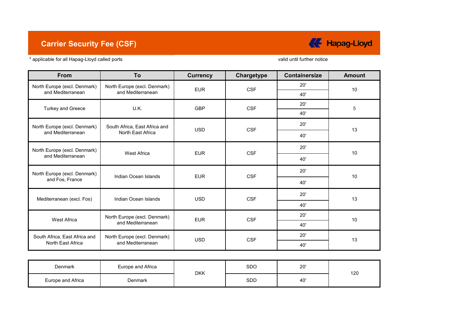## **Carrier Security Fee (CSF)**



\* applicable for all Hapag-Lloyd called ports

valid until further notice

| From                          | To                            | <b>Currency</b> | Chargetype | <b>Containersize</b> | <b>Amount</b>        |
|-------------------------------|-------------------------------|-----------------|------------|----------------------|----------------------|
| North Europe (excl. Denmark)  | North Europe (excl. Denmark)  | <b>EUR</b>      | <b>CSF</b> | 20'                  | 10                   |
| and Mediterranean             | and Mediterranean             |                 |            | 40'                  |                      |
| <b>Turkey and Greece</b>      | U.K.                          | <b>GBP</b>      | <b>CSF</b> | 20'                  | 5                    |
|                               |                               |                 |            | 40'                  |                      |
| North Europe (excl. Denmark)  | South Africa, East Africa and | <b>USD</b>      | <b>CSF</b> | 20'                  |                      |
| and Mediterranean             | North East Africa             |                 |            | 40'                  |                      |
| North Europe (excl. Denmark)  | <b>West Africa</b>            | <b>EUR</b>      | <b>CSF</b> | 20'                  |                      |
| and Mediterranean             |                               |                 |            | 40'                  |                      |
| North Europe (excl. Denmark)  | Indian Ocean Islands          | <b>EUR</b>      | <b>CSF</b> | 20'                  |                      |
| and Fos, France               |                               |                 |            | 40'                  | 13<br>10<br>10<br>13 |
| Mediterranean (excl. Fos)     | Indian Ocean Islands          | <b>USD</b>      | <b>CSF</b> | 20'                  |                      |
|                               |                               |                 |            | 40'                  |                      |
| <b>West Africa</b>            | North Europe (excl. Denmark)  | <b>EUR</b>      | <b>CSF</b> | 20'                  | 10                   |
|                               | and Mediterranean             |                 |            | 40'                  |                      |
| South Africa, East Africa and | North Europe (excl. Denmark)  | <b>USD</b>      |            | 20'                  |                      |
| North East Africa             | and Mediterranean             |                 | <b>CSF</b> | 40'                  | 13                   |

| Denmark           | Europe and Africa | <b>DKK</b> | SDO        | 20' | 120 |
|-------------------|-------------------|------------|------------|-----|-----|
| Europe and Africa | Denmark           |            | <b>SDD</b> | 40' |     |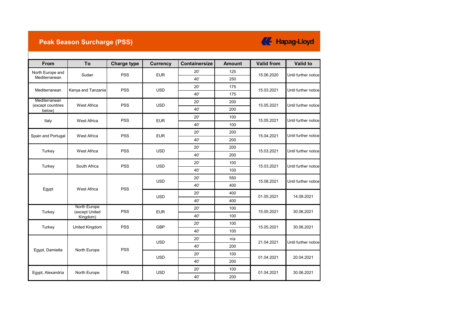### **Peak Season Surcharge (PSS)**

# **K** Hapag-Lloyd

| From                               | To                             | <b>Charge type</b> | <b>Currency</b>          | <b>Containersize</b> | <b>Amount</b> | <b>Valid from</b>        | Valid to             |
|------------------------------------|--------------------------------|--------------------|--------------------------|----------------------|---------------|--------------------------|----------------------|
| North Europe and                   | Sudan                          | <b>PSS</b>         | <b>EUR</b>               | 20'                  | 125           | 15.06.2020               | Until further notice |
| Mediterranean                      |                                |                    |                          | 40'                  | 250           |                          |                      |
| Mediterranean                      | Kenya and Tanzania             | <b>PSS</b>         | <b>USD</b>               | 20'                  | 175           | 15.03.2021               | Until further notice |
|                                    |                                |                    |                          | 40'                  | 175           |                          |                      |
| Mediterranean<br>(except countries | <b>West Africa</b>             | <b>PSS</b>         | <b>USD</b>               | 20'                  | 200           | 15.05.2021               | Until further notice |
| below)                             |                                |                    |                          | 40'                  | 200           |                          |                      |
| Italy                              | <b>West Africa</b>             | <b>PSS</b>         | <b>EUR</b>               | 20'                  | 100           | 15.05.2021               | Until further notice |
|                                    |                                |                    |                          | 40'                  | 100           |                          |                      |
| Spain and Portugal                 | West Africa                    | <b>PSS</b>         | <b>EUR</b>               | 20'                  | 200           | 15.04.2021               | Until further notice |
|                                    |                                |                    |                          | 40'                  | 200           |                          |                      |
| Turkey                             | West Africa                    | <b>PSS</b>         | <b>USD</b>               | 20'                  | 200           | 15.03.2021               | Until further notice |
|                                    |                                |                    |                          | 40'                  | 200           |                          |                      |
|                                    | South Africa                   | <b>PSS</b>         | <b>USD</b>               | 20'                  | 100           | 15.03.2021               | Until further notice |
| Turkey                             |                                |                    |                          | 40'                  | 100           |                          |                      |
|                                    |                                | <b>PSS</b>         | <b>USD</b><br><b>USD</b> | 20'                  | 550           | 15.08.2021<br>01.05.2021 | Until further notice |
| <b>West Africa</b>                 | 40'                            |                    |                          | 400                  |               |                          |                      |
| Egypt                              |                                |                    |                          | 20'                  | 400           |                          | 14.08.2021           |
|                                    |                                |                    |                          | 40'                  | 400           |                          |                      |
| Turkey                             | North Europe<br>(except United | <b>PSS</b>         | <b>EUR</b>               | 20'                  | 100           | 15.05.2021               | 30.06.2021           |
|                                    | Kingdom)                       |                    |                          | 40'                  | 100           |                          |                      |
| Turkey                             | <b>United Kingdom</b>          | <b>PSS</b>         | <b>GBP</b>               | 20'                  | 100           | 15.05.2021               | 30.06.2021           |
|                                    |                                |                    |                          | 40'                  | 100           |                          |                      |
|                                    |                                |                    | <b>USD</b>               | 20'                  | n/a           | 21.04.2021               | Until further notice |
| Egypt, Damietta                    | North Europe                   | <b>PSS</b>         |                          | 40'                  | 200           |                          |                      |
|                                    |                                |                    | <b>USD</b>               | 20'                  | 100           | 01.04.2021               | 20.04.2021           |
|                                    |                                |                    |                          | 40'                  | 200           |                          |                      |
| Egypt, Alexandria                  | North Europe                   | <b>PSS</b>         | <b>USD</b>               | 20'                  | 100           | 01.04.2021               | 30.06.2021           |
|                                    |                                |                    |                          | 40'                  | 200           |                          |                      |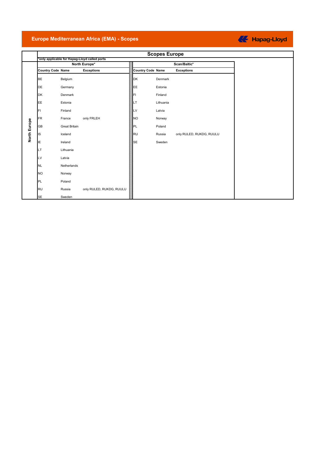#### **Europe Mediterranean Africa (EMA) - Scopes**

#### **Scopes Europe \*only applicable for Hapag-Lloyd called ports North Europe\* Scan/Baltic\* Country Code Name Exceptions Country Code Name Exceptions** BE Belgium **Denmark** Denmark **DE** Germany **EXAMPLE**<br> **EXAMPLE**<br> **EXAMPLE**<br> **EXAMPLE**<br> **EXAMPLE**<br> **EXAMPLE** DK Denmark Finland Barrett Base of the Barrett Barrett Barrett Barrett Barrett Barrett Barrett Barrett Barrett EE Estonia LT Lithuania **FI** Finland **Latvia** Entertainment Contract Contract Latvia FR France only FRLEH NO Norway North Europe **North Europe** GB Great Britain **Communist Communist Communist Communist Communist Communist Communist Communist Communist Communist PL** IS Iceland RU RU Russia only RULED, RUKDG, RUULU IE Ireland Ireland Sweden is a strong of the Sweden Sweden is strong to the Sweden LT Lithuania LV Latvia NL Netherlands NO Norway PL Poland **RU Russia** only RULED, RUKDG, RUULU SE Sweden

#### **KE** Hapag-Lloyd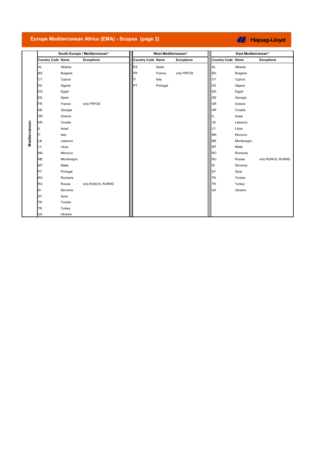#### **Europe Mediterranean Africa (EMA) - Scopes (page 2)**

### **K** Hapag-Lloyd

|               |                          |            | South Europe / Mediterranean* |                          | West Mediterranean* |                   |                          | East Mediterranean* |                   |
|---------------|--------------------------|------------|-------------------------------|--------------------------|---------------------|-------------------|--------------------------|---------------------|-------------------|
|               | <b>Country Code Name</b> |            | <b>Exceptions</b>             | <b>Country Code Name</b> |                     | <b>Exceptions</b> | <b>Country Code Name</b> |                     | <b>Exceptions</b> |
|               | <b>AL</b>                | Albania    |                               | ES                       | Spain               |                   | AL                       | Albania             |                   |
|               | <b>BG</b>                | Bulgaria   |                               | <b>FR</b>                | France              | only FRFOS        | <b>BG</b>                | Bulgaria            |                   |
|               | CY                       | Cyprus     |                               | ΙT                       | Italy               |                   | CY                       | Cyprus              |                   |
|               | <b>DZ</b>                | Algeria    |                               | PT                       | Portugal            |                   | DZ                       | Algeria             |                   |
|               | EG                       | Egypt      |                               |                          |                     |                   | EG                       | Egypt               |                   |
|               | ES                       | Spain      |                               |                          |                     |                   | <b>GE</b>                | Georgia             |                   |
|               | <b>FR</b>                | France     | only FRFOS                    |                          |                     |                   | <b>GR</b>                | Greece              |                   |
|               | <b>GE</b>                | Georgia    |                               |                          |                     |                   | HR <sup>1</sup>          | Croatia             |                   |
|               | <b>GR</b>                | Greece     |                               |                          |                     |                   | IL                       | Israel              |                   |
|               | <b>HR</b>                | Croatia    |                               |                          |                     |                   | LB                       | Lebanon             |                   |
| Mediterranean | IL                       | Israel     |                               |                          |                     |                   | LY                       | Libya               |                   |
|               | IТ                       | Italy      |                               |                          |                     |                   | MA                       | Morocco             |                   |
|               | LB                       | Lebanon    |                               |                          |                     |                   | ME                       | Montenegro          |                   |
|               | LY                       | Libya      |                               |                          |                     |                   | MT                       | Malta               |                   |
|               | MA                       | Morocco    |                               |                          |                     |                   | <b>RO</b>                | Romania             |                   |
|               | ME                       | Montenegro |                               |                          |                     |                   | RU                       | Russia              | only RUNVS, RURND |
|               | MT                       | Malta      |                               |                          |                     |                   | lsı                      | Slovenia            |                   |
|               | PT                       | Portugal   |                               |                          |                     |                   | <b>SY</b>                | Syria               |                   |
|               | <b>RO</b>                | Romania    |                               |                          |                     |                   | <b>TN</b>                | Tunisia             |                   |
|               | <b>RU</b>                | Russia     | only RUNVS, RURND             |                          |                     |                   | <b>TR</b>                | Turkey              |                   |
|               | SI                       | Slovenia   |                               |                          |                     |                   | <b>UA</b>                | Ukraine             |                   |
|               | SY                       | Syria      |                               |                          |                     |                   |                          |                     |                   |
|               | <b>TN</b>                | Tunisia    |                               |                          |                     |                   |                          |                     |                   |
|               | TR                       | Turkey     |                               |                          |                     |                   |                          |                     |                   |
|               | <b>UA</b>                | Ukraine    |                               |                          |                     |                   |                          |                     |                   |